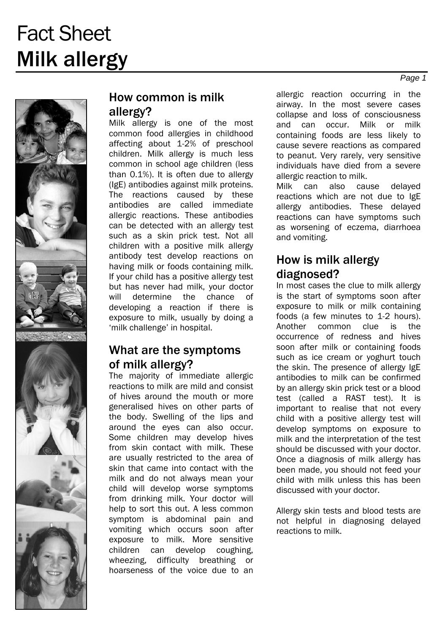

#### How common is milk allergy?

Milk allergy is one of the most common food allergies in childhood affecting about 1-2% of preschool children. Milk allergy is much less common in school age children (less than 0.1%). It is often due to allergy (IgE) antibodies against milk proteins. The reactions caused by these antibodies are called immediate allergic reactions. These antibodies can be detected with an allergy test such as a skin prick test. Not all children with a positive milk allergy antibody test develop reactions on having milk or foods containing milk. If your child has a positive allergy test but has never had milk, your doctor will determine the chance of developing a reaction if there is exposure to milk, usually by doing a 'milk challenge' in hospital.

#### What are the symptoms of milk allergy?

The majority of immediate allergic reactions to milk are mild and consist of hives around the mouth or more generalised hives on other parts of the body. Swelling of the lips and around the eyes can also occur. Some children may develop hives from skin contact with milk. These are usually restricted to the area of skin that came into contact with the milk and do not always mean your child will develop worse symptoms from drinking milk. Your doctor will help to sort this out. A less common symptom is abdominal pain and vomiting which occurs soon after exposure to milk. More sensitive children can develop coughing, wheezing, difficulty breathing or hoarseness of the voice due to an

allergic reaction occurring in the airway. In the most severe cases collapse and loss of consciousness and can occur. Milk or milk containing foods are less likely to cause severe reactions as compared to peanut. Very rarely, very sensitive individuals have died from a severe allergic reaction to milk.

Milk can also cause delayed reactions which are not due to IgE allergy antibodies. These delayed reactions can have symptoms such as worsening of eczema, diarrhoea and vomiting.

#### How is milk allergy diagnosed?

In most cases the clue to milk allergy is the start of symptoms soon after exposure to milk or milk containing foods (a few minutes to 1-2 hours). Another common clue is the occurrence of redness and hives soon after milk or containing foods such as ice cream or yoghurt touch the skin. The presence of allergy IgE antibodies to milk can be confirmed by an allergy skin prick test or a blood test (called a RAST test). It is important to realise that not every child with a positive allergy test will develop symptoms on exposure to milk and the interpretation of the test should be discussed with your doctor. Once a diagnosis of milk allergy has been made, you should not feed your child with milk unless this has been discussed with your doctor.

Allergy skin tests and blood tests are not helpful in diagnosing delayed reactions to milk.

*Page 1*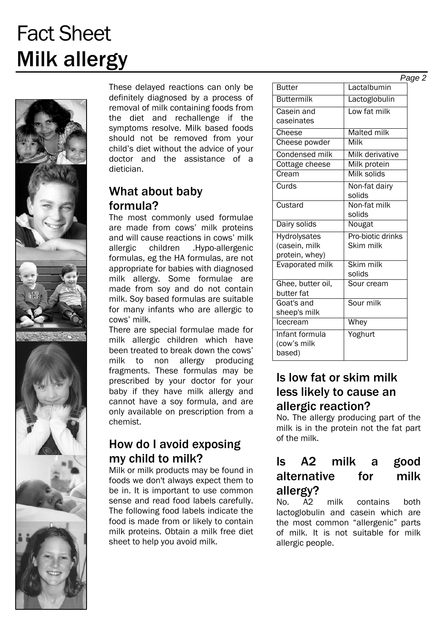

These delayed reactions can only be definitely diagnosed by a process of removal of milk containing foods from the diet and rechallenge if the symptoms resolve. Milk based foods should not be removed from your child's diet without the advice of your doctor and the assistance of a dietician.

### What about baby formula?

The most commonly used formulae are made from cows' milk proteins and will cause reactions in cows' milk allergic children .Hypo-allergenic formulas, eg the HA formulas, are not appropriate for babies with diagnosed milk allergy. Some formulae are made from soy and do not contain milk. Soy based formulas are suitable for many infants who are allergic to cows' milk.

There are special formulae made for milk allergic children which have been treated to break down the cows' milk to non allergy producing fragments. These formulas may be prescribed by your doctor for your baby if they have milk allergy and cannot have a soy formula, and are only available on prescription from a chemist.

#### How do I avoid exposing my child to milk?

Milk or milk products may be found in foods we don't always expect them to be in. It is important to use common sense and read food labels carefully. The following food labels indicate the food is made from or likely to contain milk proteins. Obtain a milk free diet sheet to help you avoid milk.

| <b>Butter</b>     | Lactalbumin       |
|-------------------|-------------------|
| <b>Buttermilk</b> | Lactoglobulin     |
| Casein and        | Low fat milk      |
| caseinates        |                   |
| Cheese            | Malted milk       |
| Cheese powder     | Milk              |
| Condensed milk    | Milk derivative   |
| Cottage cheese    | Milk protein      |
| Cream             | Milk solids       |
| Curds             | Non-fat dairy     |
|                   | solids            |
| Custard           | Non-fat milk      |
|                   | solids            |
| Dairy solids      | Nougat            |
| Hydrolysates      | Pro-biotic drinks |
| (casein, milk     | Skim milk         |
| protein, whey)    |                   |
| Evaporated milk   | Skim milk         |
|                   | solids            |
| Ghee, butter oil, | Sour cream        |
| butter fat        |                   |
| Goat's and        | Sour milk         |
| sheep's milk      |                   |
| Icecream          | <b>Whey</b>       |
| Infant formula    | Yoghurt           |
| (cow's milk       |                   |
| based)            |                   |

#### Is low fat or skim milk less likely to cause an allergic reaction?

No. The allergy producing part of the milk is in the protein not the fat part of the milk.

## Is A2 milk a good alternative for milk allergy?

No. A2 milk contains both lactoglobulin and casein which are the most common "allergenic" parts of milk. It is not suitable for milk allergic people.

*Page 2*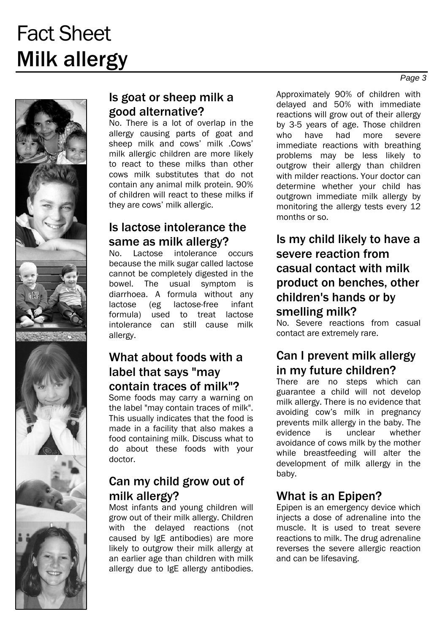

#### Is goat or sheep milk a good alternative?

No. There is a lot of overlap in the allergy causing parts of goat and sheep milk and cows' milk .Cows' milk allergic children are more likely to react to these milks than other cows milk substitutes that do not contain any animal milk protein. 90% of children will react to these milks if they are cows' milk allergic.

### Is lactose intolerance the same as milk allergy?

No. Lactose intolerance occurs because the milk sugar called lactose cannot be completely digested in the bowel. The usual symptom is diarrhoea. A formula without any lactose (eg lactose-free infant formula) used to treat lactose intolerance can still cause milk allergy.

#### What about foods with a label that says "may contain traces of milk"?

Some foods may carry a warning on the label "may contain traces of milk". This usually indicates that the food is made in a facility that also makes a food containing milk. Discuss what to do about these foods with your doctor.

## Can my child grow out of milk allergy?

Most infants and young children will grow out of their milk allergy. Children with the delayed reactions (not caused by IgE antibodies) are more likely to outgrow their milk allergy at an earlier age than children with milk allergy due to IgE allergy antibodies.

Approximately 90% of children with delayed and 50% with immediate reactions will grow out of their allergy by 3-5 years of age. Those children who have had more severe immediate reactions with breathing problems may be less likely to outgrow their allergy than children with milder reactions. Your doctor can determine whether your child has outgrown immediate milk allergy by monitoring the allergy tests every 12 months or so.

### Is my child likely to have a severe reaction from casual contact with milk product on benches, other children's hands or by smelling milk?

No. Severe reactions from casual contact are extremely rare.

## Can I prevent milk allergy in my future children?

There are no steps which can guarantee a child will not develop milk allergy. There is no evidence that avoiding cow's milk in pregnancy prevents milk allergy in the baby. The evidence is unclear whether avoidance of cows milk by the mother while breastfeeding will alter the development of milk allergy in the baby.

### What is an Epipen?

Epipen is an emergency device which injects a dose of adrenaline into the muscle. It is used to treat severe reactions to milk. The drug adrenaline reverses the severe allergic reaction and can be lifesaving.

*Page 3*